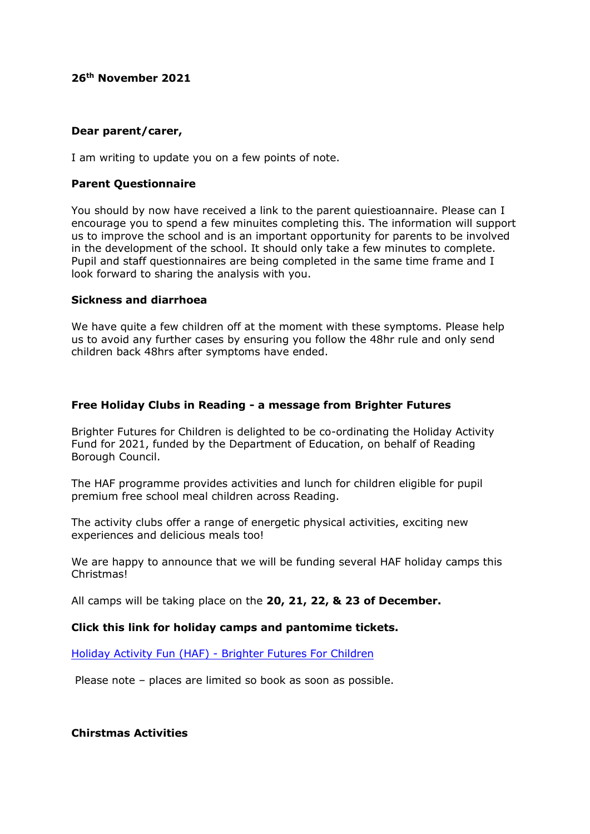## **26th November 2021**

### **Dear parent/carer,**

I am writing to update you on a few points of note.

# **Parent Questionnaire**

You should by now have received a link to the parent quiestioannaire. Please can I encourage you to spend a few minuites completing this. The information will support us to improve the school and is an important opportunity for parents to be involved in the development of the school. It should only take a few minutes to complete. Pupil and staff questionnaires are being completed in the same time frame and I look forward to sharing the analysis with you.

### **Sickness and diarrhoea**

We have quite a few children off at the moment with these symptoms. Please help us to avoid any further cases by ensuring you follow the 48hr rule and only send children back 48hrs after symptoms have ended.

# **Free Holiday Clubs in Reading - a message from Brighter Futures**

Brighter Futures for Children is delighted to be co-ordinating the Holiday Activity Fund for 2021, funded by the Department of Education, on behalf of Reading Borough Council.

The HAF programme provides activities and lunch for children eligible for pupil premium free school meal children across Reading.

The activity clubs offer a range of energetic physical activities, exciting new experiences and delicious meals too!

We are happy to announce that we will be funding several HAF holiday camps this Christmas!

All camps will be taking place on the **20, 21, 22, & 23 of December.**

# **Click this link for holiday camps and pantomime tickets.**

Holiday Activity Fun (HAF) - [Brighter Futures For Children](https://brighterfuturesforchildren.org/for-parents-carers/schools/haf/#1635855419482-2-4)

Please note – places are limited so book as soon as possible.

**Chirstmas Activities**